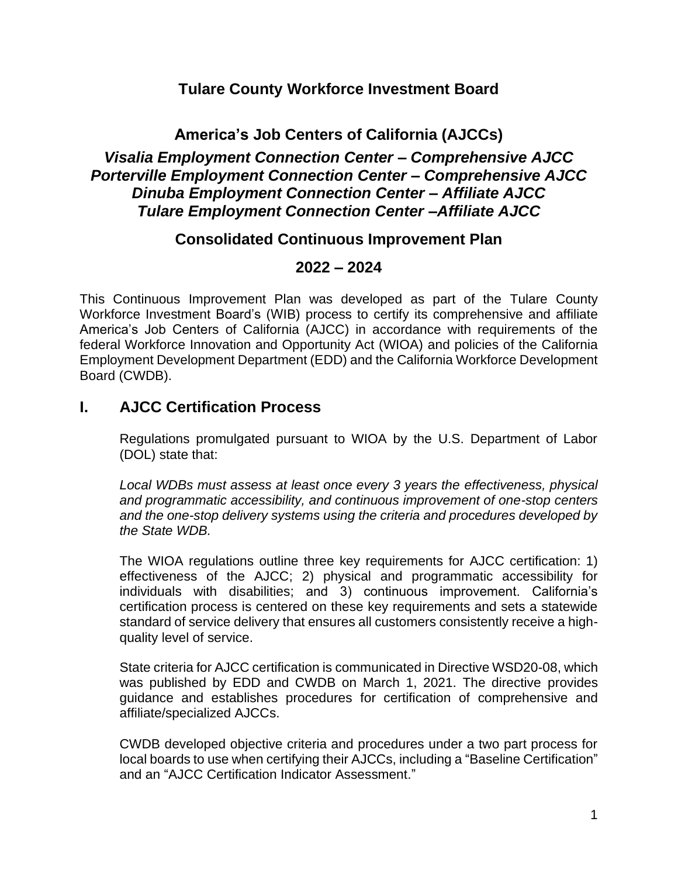## **Tulare County Workforce Investment Board**

# **America's Job Centers of California (AJCCs)** *Visalia Employment Connection Center – Comprehensive AJCC Porterville Employment Connection Center – Comprehensive AJCC Dinuba Employment Connection Center – Affiliate AJCC Tulare Employment Connection Center –Affiliate AJCC*

### **Consolidated Continuous Improvement Plan**

### **2022 – 2024**

This Continuous Improvement Plan was developed as part of the Tulare County Workforce Investment Board's (WIB) process to certify its comprehensive and affiliate America's Job Centers of California (AJCC) in accordance with requirements of the federal Workforce Innovation and Opportunity Act (WIOA) and policies of the California Employment Development Department (EDD) and the California Workforce Development Board (CWDB).

## **I. AJCC Certification Process**

Regulations promulgated pursuant to WIOA by the U.S. Department of Labor (DOL) state that:

*Local WDBs must assess at least once every 3 years the effectiveness, physical and programmatic accessibility, and continuous improvement of one-stop centers and the one-stop delivery systems using the criteria and procedures developed by the State WDB.*

The WIOA regulations outline three key requirements for AJCC certification: 1) effectiveness of the AJCC; 2) physical and programmatic accessibility for individuals with disabilities; and 3) continuous improvement. California's certification process is centered on these key requirements and sets a statewide standard of service delivery that ensures all customers consistently receive a highquality level of service.

State criteria for AJCC certification is communicated in Directive WSD20-08, which was published by EDD and CWDB on March 1, 2021. The directive provides guidance and establishes procedures for certification of comprehensive and affiliate/specialized AJCCs.

CWDB developed objective criteria and procedures under a two part process for local boards to use when certifying their AJCCs, including a "Baseline Certification" and an "AJCC Certification Indicator Assessment."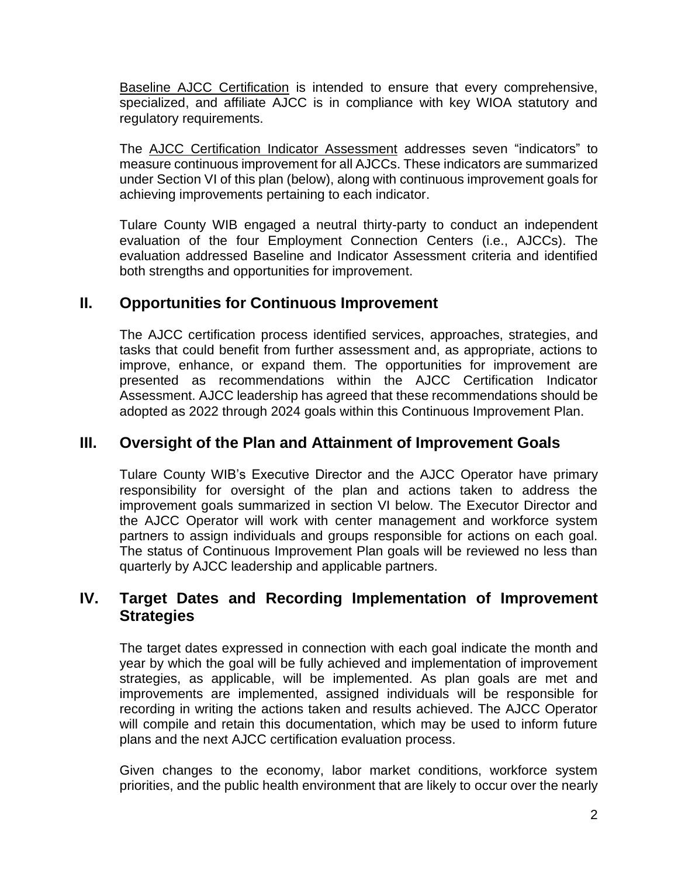Baseline AJCC Certification is intended to ensure that every comprehensive, specialized, and affiliate AJCC is in compliance with key WIOA statutory and regulatory requirements.

The AJCC Certification Indicator Assessment addresses seven "indicators" to measure continuous improvement for all AJCCs. These indicators are summarized under Section VI of this plan (below), along with continuous improvement goals for achieving improvements pertaining to each indicator.

Tulare County WIB engaged a neutral thirty-party to conduct an independent evaluation of the four Employment Connection Centers (i.e., AJCCs). The evaluation addressed Baseline and Indicator Assessment criteria and identified both strengths and opportunities for improvement.

# **II. Opportunities for Continuous Improvement**

The AJCC certification process identified services, approaches, strategies, and tasks that could benefit from further assessment and, as appropriate, actions to improve, enhance, or expand them. The opportunities for improvement are presented as recommendations within the AJCC Certification Indicator Assessment. AJCC leadership has agreed that these recommendations should be adopted as 2022 through 2024 goals within this Continuous Improvement Plan.

## **III. Oversight of the Plan and Attainment of Improvement Goals**

Tulare County WIB's Executive Director and the AJCC Operator have primary responsibility for oversight of the plan and actions taken to address the improvement goals summarized in section VI below. The Executor Director and the AJCC Operator will work with center management and workforce system partners to assign individuals and groups responsible for actions on each goal. The status of Continuous Improvement Plan goals will be reviewed no less than quarterly by AJCC leadership and applicable partners.

#### **IV. Target Dates and Recording Implementation of Improvement Strategies**

The target dates expressed in connection with each goal indicate the month and year by which the goal will be fully achieved and implementation of improvement strategies, as applicable, will be implemented. As plan goals are met and improvements are implemented, assigned individuals will be responsible for recording in writing the actions taken and results achieved. The AJCC Operator will compile and retain this documentation, which may be used to inform future plans and the next AJCC certification evaluation process.

Given changes to the economy, labor market conditions, workforce system priorities, and the public health environment that are likely to occur over the nearly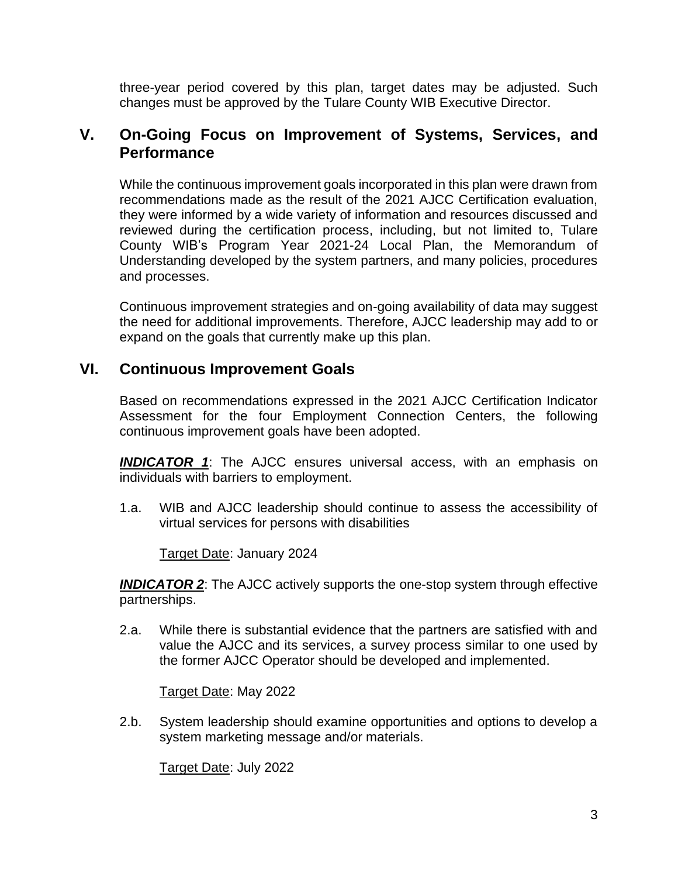three-year period covered by this plan, target dates may be adjusted. Such changes must be approved by the Tulare County WIB Executive Director.

#### **V. On-Going Focus on Improvement of Systems, Services, and Performance**

While the continuous improvement goals incorporated in this plan were drawn from recommendations made as the result of the 2021 AJCC Certification evaluation, they were informed by a wide variety of information and resources discussed and reviewed during the certification process, including, but not limited to, Tulare County WIB's Program Year 2021-24 Local Plan, the Memorandum of Understanding developed by the system partners, and many policies, procedures and processes.

Continuous improvement strategies and on-going availability of data may suggest the need for additional improvements. Therefore, AJCC leadership may add to or expand on the goals that currently make up this plan.

#### **VI. Continuous Improvement Goals**

Based on recommendations expressed in the 2021 AJCC Certification Indicator Assessment for the four Employment Connection Centers, the following continuous improvement goals have been adopted.

*INDICATOR 1*: The AJCC ensures universal access, with an emphasis on individuals with barriers to employment.

1.a. WIB and AJCC leadership should continue to assess the accessibility of virtual services for persons with disabilities

Target Date: January 2024

**INDICATOR 2**: The AJCC actively supports the one-stop system through effective partnerships.

2.a. While there is substantial evidence that the partners are satisfied with and value the AJCC and its services, a survey process similar to one used by the former AJCC Operator should be developed and implemented.

Target Date: May 2022

2.b. System leadership should examine opportunities and options to develop a system marketing message and/or materials.

Target Date: July 2022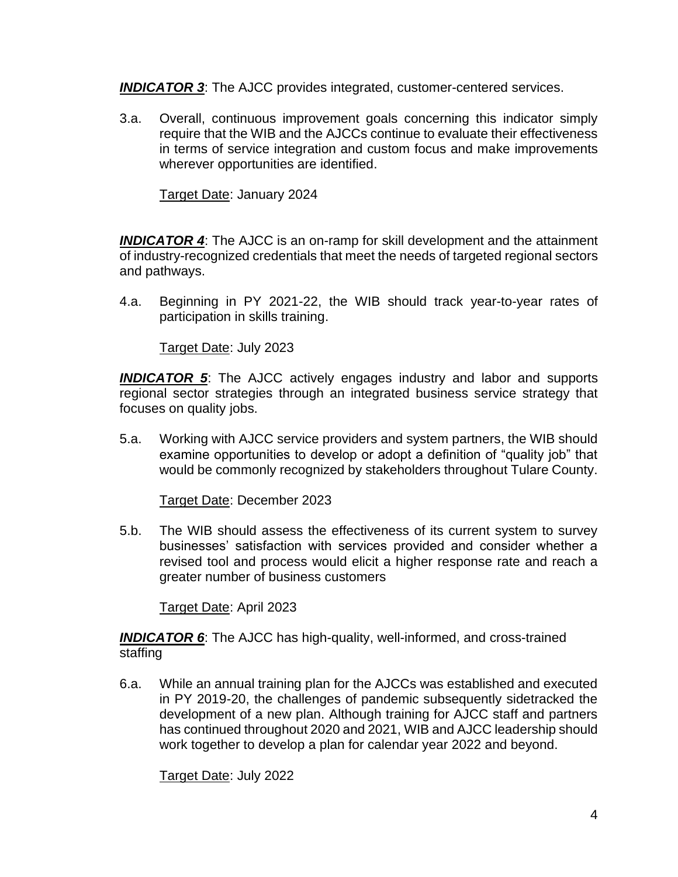*INDICATOR 3*: The AJCC provides integrated, customer-centered services.

3.a. Overall, continuous improvement goals concerning this indicator simply require that the WIB and the AJCCs continue to evaluate their effectiveness in terms of service integration and custom focus and make improvements wherever opportunities are identified.

Target Date: January 2024

*INDICATOR 4*: The AJCC is an on-ramp for skill development and the attainment of industry-recognized credentials that meet the needs of targeted regional sectors and pathways.

4.a. Beginning in PY 2021-22, the WIB should track year-to-year rates of participation in skills training.

Target Date: July 2023

**INDICATOR 5:** The AJCC actively engages industry and labor and supports regional sector strategies through an integrated business service strategy that focuses on quality jobs.

5.a. Working with AJCC service providers and system partners, the WIB should examine opportunities to develop or adopt a definition of "quality job" that would be commonly recognized by stakeholders throughout Tulare County.

Target Date: December 2023

5.b. The WIB should assess the effectiveness of its current system to survey businesses' satisfaction with services provided and consider whether a revised tool and process would elicit a higher response rate and reach a greater number of business customers

Target Date: April 2023

*INDICATOR 6*: The AJCC has high-quality, well-informed, and cross-trained staffing

6.a. While an annual training plan for the AJCCs was established and executed in PY 2019-20, the challenges of pandemic subsequently sidetracked the development of a new plan. Although training for AJCC staff and partners has continued throughout 2020 and 2021, WIB and AJCC leadership should work together to develop a plan for calendar year 2022 and beyond.

Target Date: July 2022